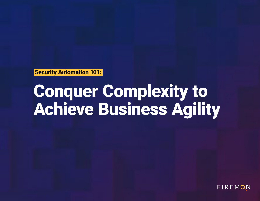# Conquer Complexity to Achieve Business Agility



# FIREMON

# Security Automation 101: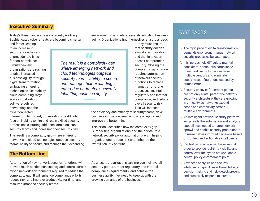Today's threat landscape is constantly evolving. Sophisticated cyber threats are becoming smarter

and faster, leading to an increase in security breaches and unprecedented fines for non-compliance. Simultaneously, organizations are rushing to drive increased business agility through digital transformation, embracing emerging technologies like mobility, cloud computing, largescale virtualization, software-defined networking, and the hyperconnected

Internet of Things. Yet, organizations worldwide face an inability to hire and retain skilled security professionals, putting additional strain on lean security teams and increasing their security risk.

The result is a complexity gap where emerging network and cloud technologies outpace security teams' ability to secure and manage their expanding environments perimeters, severely inhibiting business agility. Organizations find themselves at a crossroads

> – they must ensure that security doesn't slow down innovation and that innovation doesn't compromise security. Closing the complexity gap at scale requires automation of network security functions to replace manual, error-prone processes, maintain regulatory and internal compliance, and reduce overall security risk. This will increase

the efficiency and efficacy of security teams, drive business innovation, enable business agility, and improve the bottom line.

This eBook describes how the complexity gap is impacting organizations and the pivotal role network security policy automation plays in helping organizations reduce risk and enhance their overall security posture.

Automation of key network security functions will provide much needed consistency and control across hybrid network environments required to reduce the complexity gap. It will enhance compliance efforts, reduce risk, and improve productivity for time- and resource-strapped security teams.

As a result, organizations can improve their overall security posture, meet regulatory and internal compliance requirements, and achieve the business agility they need to keep up with the growing demands of the business.

#### The Bottom Line:

## Executive Summary

# FAST FACTS

The rapid pace of digital transformation **\** demands error prone, manual network security processes be automated.

It is increasingly difficult to maintain **\** consistent, continuous compliance of network security devices from multiple vendors and eliminate costly misconfigurations caused by human error.

Security policy enforcement points **\** are not only a vital part of the network security architecture, they are growing in criticality as networks expand in scope and complexity across multiple environments.

An intelligent network security platform **\** will provide the automation and analysis capabilities needed to tame network sprawl and enable security practitioners to make better-informed decisions based on context and actionable intelligence.

Centralized management is essential in **\** order to provide real-time visibility and control over the hybrid network and a central policy enforcement point.

Advanced analytics and security **\** intelligence capabilities will enable better decision making and help detect, prevent, and proactively respond to threats.

*The result is a complexity gap where emerging network and cloud technologies outpace security teams' ability to secure and manage their expanding enterprise perimeters, severely inhibiting business agility.*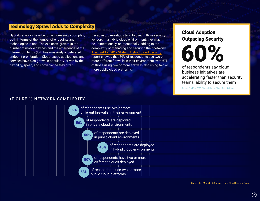Hybrid networks have become increasingly complex, both in terms of the number of endpoints and technologies in use. The explosive growth in the number of mobile devices and the emergence of the Internet of Things (IoT) has massively accelerated endpoint proliferation. Cloud-based applications and services have also grown in popularity, driven by the flexibility, speed, and convenience they offer.

Because organizations tend to use multiple security vendors in a hybrid cloud environment, they may be unintentionally, or intentionally, adding to the complexity of managing and securing their networks. [The](http://content.firemon.com/l/11772/2020-11-12/6pzh6g) [FireMon 2019 State of Hybrid Cloud Securit](http://content.firemon.com/l/11772/2019-02-21/5x9pm7)[y](http://content.firemon.com/l/11772/2020-11-12/6pzh6g)  report showed that 59% of respondents use two or more different firewalls in their environment, with 67% of those using two or more firewalls also using two or more public cloud platforms.<sup>1</sup>

## Technology Sprawl Adds to Complexity

#### (FIGURE 1) NETWORK COMPLEXIT Y



Source: FireMon 2019 State of Hybrid Cloud Security Report

Source: FireMon 2019 State of Hybrid Cloud Security Report



of respondents say cloud business initiatives are accelerating faster than security teams' ability to secure them

# Cloud Adoption Outpacing Security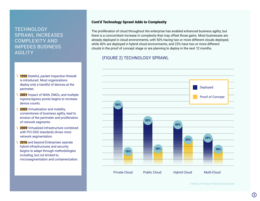# **TECHNOLOGY** SPRAWL INCREASES COMPLEXITY AND IMPEDES BUSINESS **AGILITY**

- 1995 Stateful, packet inspection firewall is introduced. Most organizations deploy only a handful of devices at the perimeter. **\**
- 2001 Impact of WAN, DMZs, and multiple ingress/egress points begins to increase device counts. **\**
- 2005 Virtualization and mobility, cornerstones of business agility, lead to erosion of the perimeter and proliferation of network segments. **\**
- 2009 Virtualized infrastructure combined with PCI-DSS standards drives more network segmentation. **\**
- 2016 and beyond Enterprises operate hybrid infrastructures and security begins to adapt through methodologies including, but not limited to, microsegmentation and containerization. **\**

#### (FIGURE 2) TECHNOLOGY SPRAWL

FireMon 2019 State of Hybrid Cloud Security



Private Cloud Public Cloud Hybrid Cloud Multi-Cloud

#### Cont'd Technology Sprawl Adds to Complexity

The proliferation of cloud throughout the enterprise has enabled enhanced business agility, but there is a concomitant increase in complexity that may offset those gains. Most businesses are already deployed in cloud environments, with 50% having two or more different clouds deployed, while 40% are deployed in hybrid cloud environments, and 23% have two or more different clouds in the proof of concept stage or are planning to deploy in the next 12 months.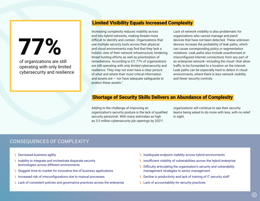# CONSEQUENCES OF COMPLEXITY

**\ \** Decreased business agility

- **\ \** Inability to integrate and orchestrate disparate security technologies across different environments
- **\** Sluggish time-to-market for innovative line of business applications
- **\** Increased risk of misconfigurations due to manual processes
- **\** Lack of consistent policies and governance practices across the enterprise
- **Inadequate endpoint visibility across hybrid environments**
- **Insufficient visibility of vulnerabilities across the hybrid enterprise**
- **\** Difficulty articulating the organization's security and vulnerability management strategies to senior management
- **\** Decline in productivity and lack of training of IT security staff
- **\** Lack of accountability for security practices

Increasing complexity reduces visibility across and into hybrid networks, making threats more difficult to identify and contain. Organizations that use multiple security tools across their physical and cloud environments may find that they lack a holistic view of their network infrastructure, hindering threat hunting efforts as well as prioritization of remediations. According to EY, 77% of organizations are still operating with only limited cybersecurity and resilience. They may not even have a clear picture of what and where their most critical information and assets are  $-$  nor have adequate safeguards to protect these assets.<sup>3</sup>

Lack of network visibility is also problematic for organizations who cannot manage and patch devices that have not been detected. These unknown devices increase the probability of leak paths, which can cause corresponding policy or segmentation violations. Leak paths also include unauthorized or misconfigured internet connections from any part of an enterprise network—including the cloud—that allow traffic to be forwarded to a location on the internet. Leak paths can be especially hard to detect in cloud environments, where there is less network visibility and fewer security controls.

Adding to the challenge of improving an organization's security posture is the lack of qualified security personnel. With many estimates as high as 3.5 million cybersecurity job openings by 2021<sup>4</sup> ,

organizations will continue to see their security teams being asked to do more with less, with no relief

in sight.

# Limited Visibility Equals Increased Complexity

# Shortage of Security Skills Delivers an Abundance of Complexity

77%

of organizations are still

operating with only limited

cybersecurity and resilience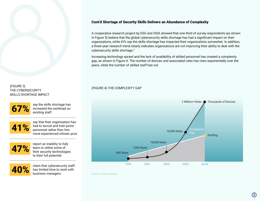

Source: FireMon Research



#### Cont'd Shortage of Security Skills Delivers an Abundance of Complexity



A cooperative research project by ESG and ISSA showed that one-third of survey respondents (as shown in Figure 3) believe that the global cybersecurity skills shortage has had a significant impact on their organizations, while 41% say the skills shortage has impacted their organizations somewhat. In addition, a three-year research trend clearly indicates organizations are not improving their ability to deal with the cybersecurity skills shortage.<sup>5</sup>

Increasing technology sprawl and the lack of availability of skilled personnel has created a complexity gap, as shown in Figure 4. The number of devices and associated rules has risen exponentially over the years, while the number of skilled staff has not.

(FIGURE 3) THE CYBERSECURITY SKILLS SHORTAGE IMPACT

#### (FIGURE 4) THE COMPLEXITY GAP

say the skills shortage has increased the workload on existing staff

say that their organization has had to recruit and train junior personnel rather than hire more experienced infosec pros

report an inability to fully learn or utilize some of their security technologies to their full potential

claim that cybersecurity staff has limited time to work with business managers







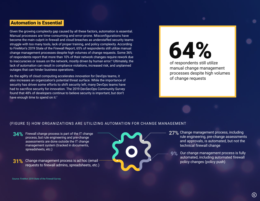As the agility of cloud computing accelerates innovation for DevOps teams, it also increases an organization's potential threat surface. While the importance of security has driven some efforts to shift security left, many DevOps teams have had to sacrifice security for innovation. The 2019 DevSecOps Community Survey found that 48% of developers continue to believe security is important, but don't have enough time to spend on it.<sup>7</sup>

Given the growing complexity gap caused by all these factors, automation is essential. Manual processes are time-consuming and error-prone. Misconfigurations have become the main culprit in firewall and cloud breaches as understaffed security teams struggle with too many tools, lack of proper training, and policy complexity. According to FireMon's 2019 State of the Firewall Report, 65% of respondents still utilize manual change management processes despite high volumes of change requests. Some 36% of respondents report that more than 10% of their network changes require rework due to inaccuracies or issues on the network, mostly driven by human error. 6 Ultimately, the lack of automation can result in compliance violations, increased risk, and unplanned outages that can hinder business operations.

27% Change management process, including rule engineering, pre-change assessments and approvals, is automated, but not the technical firewall change

#### (FIGURE 5) HOW ORGANIZATIONS ARE UTILIZING AUTOMATION FOR CHANGE MANAGEMENT

- Firewall change process is part of the IT change **34%** process, but rule engineering and pre-change assessments are done outside the IT change management system (tracked in documents, spreadsheets, etc.)
- 31% Change management process is ad hoc (email requests to firewall admins, spreadsheets, etc.)

Our change management process is fully automated, including automated firewall policy changes (policy push)



#### Automation is Essential



of respondents still utilize manual change management processes despite high volumes of change requests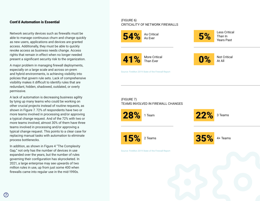#### Cont'd Automation is Essential

Source: FireMon 2019 State of the Firewall Report

Source: FireMon 2019 State of the Firewall Report

Network security devices such as firewalls must be able to manage continuous churn and change quickly as new users, applications and devices are granted access. Additionally, they must be able to quickly revoke access as business needs change. Access rights that remain in effect when no longer needed present a significant security risk to the organization.

A major problem in managing firewall deployments, especially on a large scale and across on-prem and hybrid environments, is achieving visibility into policies that govern rule sets. Lack of comprehensive visibility makes it difficult to identify rules that are redundant, hidden, shadowed, outdated, or overly permissive.

A lack of automation is decreasing business agility by tying up many teams who could be working on other crucial projects instead of routine requests, as shown in Figure 7. 72% of respondents have two or more teams involved in processing and/or approving a typical change request. And of the 72% with two or more teams involved, almost 30% of them have three teams involved in processing and/or approving a typical change request. This points to a clear case for replacing manual tasks with automation to eliminate process bottlenecks.

In addition, as shown in Figure 4 "The Complexity Gap," not only has the number of devices in use expanded over the years, but the number of rules governing their configuration has skyrocketed. In 2021, a large enterprise may see upwards of two million rules in use, up from just some 400 when firewalls came into regular use in the mid-1990s.

#### (FIGURE 6) CRITICALITY OF NETWORK FIREWALLS

#### (FIGURE 7) TEAMS INVOLVED IN FIREWALL CHANGES

As Critical

1 Team



3 Teams

More Critical Than Ever



Less Critical Than In Years Past

Not Critical At All











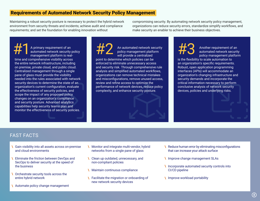# FAST FACTS

- **\ \ \** Gain visibility into all assets across on-premise and cloud environments
- **\ \** Eliminate the friction between DevOps and SecOps to deliver security at the speed of the business
- **\** Orchestrate security tools across the entire hybrid network
- **\** Automate policy change management
- **N** Monitor and integrate multi-vendor, hybrid networks from a single pane of glass
- Clean up outdated, unnecessary, and non-compliant policies
- **\** Maintain continuous compliance
- **\** Facilitate the migration or onboarding of new network security devices

**N** Reduce human error by eliminating misconfigurations that can increase your attack surface

**\** Improve change management SLAs

**\** Incorporate automated security controls into

**\** Improve workload portability

- 
- 
- CI/CD pipeline
- 

Maintaining a robust security posture is necessary to protect the hybrid network environment from security threats and incidents; achieve audit and compliance requirements; and set the foundation for enabling innovation without

compromising security. By automating network security policy management, organizations can reduce security errors, standardize simplify workflows, and make security an enabler to achieve their business objectives.

A primary requirement of an automated network security<br>automated network security policy<br>management platform is real-<br>altong will provide a centralized policy management platform<br>policy management platform is real-A primary requirement of an automated network security policy management platform is real-

# Requirements of Automated Network Security Policy Management

automated network security policy management platform

is the flexibility to scale automation to an organization's specific requirements. Robust, open application programming interfaces (APIs) will accommodate an organization's changing infrastructure and security demands and incorporate the critical information necessary to perform conclusive analysis of network security devices, policies and underlying risks.

An automated network security policy management platform will provide a centralized point to determine which policies can be enforced to eliminate unnecessary access and security risk. Through comprehensive rule analysis and simplified automated workflows, organizations can remove technical mistakes and misconfigurations, remove unused access,

review and refine access to optimize the

performance of network devices, reduce policy

complexity, and enhance security posture.

time and comprehensive visibility across the entire network infrastructure, including on premise, private cloud, and public cloud. Centralized management through a single pane of glass must provide the visibility needed into the rules associated with network security devices to determine the state of an organization's current configuration, evaluate the effectiveness of security policies, and scope the impact of any proposed policy changes on an organization's compliance and security posture. Advanced analytics capabilities help security teams plan and monitor the effectiveness of security policies.